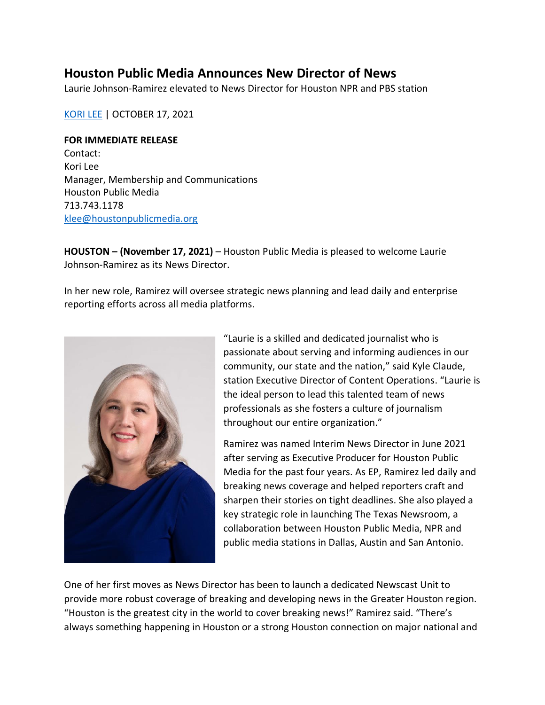## **Houston Public Media Announces New Director of News**

Laurie Johnson-Ramirez elevated to News Director for Houston NPR and PBS station

[KORI](https://www.houstonpublicmedia.org/staff/kori-lee/) LEE | OCTOBER 17, 2021

## **FOR IMMEDIATE RELEASE**

Contact: Kori Lee Manager, Membership and Communications Houston Public Media 713.743.1178 [klee@houstonpublicmedia.org](mailto:klee@houstonpublicmedia.org)

**HOUSTON – (November 17, 2021)** – Houston Public Media is pleased to welcome Laurie Johnson-Ramirez as its News Director.

In her new role, Ramirez will oversee strategic news planning and lead daily and enterprise reporting efforts across all media platforms.



"Laurie is a skilled and dedicated journalist who is passionate about serving and informing audiences in our community, our state and the nation," said Kyle Claude, station Executive Director of Content Operations. "Laurie is the ideal person to lead this talented team of news professionals as she fosters a culture of journalism throughout our entire organization."

Ramirez was named Interim News Director in June 2021 after serving as Executive Producer for Houston Public Media for the past four years. As EP, Ramirez led daily and breaking news coverage and helped reporters craft and sharpen their stories on tight deadlines. She also played a key strategic role in launching The Texas Newsroom, a collaboration between Houston Public Media, NPR and public media stations in Dallas, Austin and San Antonio.

One of her first moves as News Director has been to launch a dedicated Newscast Unit to provide more robust coverage of breaking and developing news in the Greater Houston region. "Houston is the greatest city in the world to cover breaking news!" Ramirez said. "There's always something happening in Houston or a strong Houston connection on major national and